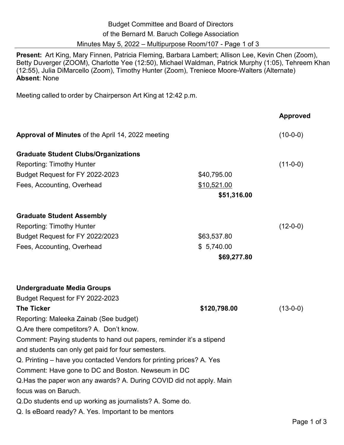| <b>Budget Committee and Board of Directors</b>            |
|-----------------------------------------------------------|
| of the Bernard M. Baruch College Association              |
| Minutes May 5, 2022 – Multipurpose Room/107 - Page 1 of 3 |

**Present:** Art King, Mary Finnen, Patricia Fleming, Barbara Lambert; Allison Lee, Kevin Chen (Zoom), Betty Duverger (ZOOM), Charlotte Yee (12:50), Michael Waldman, Patrick Murphy (1:05), Tehreem Khan (12:55), Julia DiMarcello (Zoom), Timothy Hunter (Zoom), Treniece Moore-Walters (Alternate) **Absent**: None

Meeting called to order by Chairperson Art King at 12:42 p.m.

|                                                                      |              | <b>Approved</b> |
|----------------------------------------------------------------------|--------------|-----------------|
| Approval of Minutes of the April 14, 2022 meeting                    |              | $(10-0-0)$      |
| <b>Graduate Student Clubs/Organizations</b>                          |              |                 |
| <b>Reporting: Timothy Hunter</b>                                     |              | $(11-0-0)$      |
| Budget Request for FY 2022-2023                                      | \$40,795.00  |                 |
| Fees, Accounting, Overhead                                           | \$10,521.00  |                 |
|                                                                      | \$51,316.00  |                 |
| <b>Graduate Student Assembly</b>                                     |              |                 |
| <b>Reporting: Timothy Hunter</b>                                     |              | $(12-0-0)$      |
| Budget Request for FY 2022/2023                                      | \$63,537.80  |                 |
| Fees, Accounting, Overhead                                           | \$5,740.00   |                 |
|                                                                      | \$69,277.80  |                 |
| <b>Undergraduate Media Groups</b>                                    |              |                 |
| Budget Request for FY 2022-2023                                      |              |                 |
| <b>The Ticker</b>                                                    | \$120,798.00 | $(13-0-0)$      |
| Reporting: Maleeka Zainab (See budget)                               |              |                 |
| Q. Are there competitors? A. Don't know.                             |              |                 |
| Comment: Paying students to hand out papers, reminder it's a stipend |              |                 |
| and students can only get paid for four semesters.                   |              |                 |
| Q. Printing – have you contacted Vendors for printing prices? A. Yes |              |                 |
| Comment: Have gone to DC and Boston. Newseum in DC                   |              |                 |
| Q. Has the paper won any awards? A. During COVID did not apply. Main |              |                 |
| focus was on Baruch.                                                 |              |                 |
| Q.Do students end up working as journalists? A. Some do.             |              |                 |
| Q. Is eBoard ready? A. Yes. Important to be mentors                  |              |                 |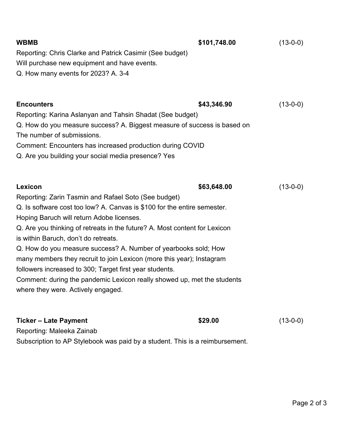| <b>WBMB</b>                                                                | \$101,748.00 | $(13-0-0)$ |  |  |
|----------------------------------------------------------------------------|--------------|------------|--|--|
| Reporting: Chris Clarke and Patrick Casimir (See budget)                   |              |            |  |  |
| Will purchase new equipment and have events.                               |              |            |  |  |
| Q. How many events for 2023? A. 3-4                                        |              |            |  |  |
|                                                                            |              |            |  |  |
| <b>Encounters</b>                                                          | \$43,346.90  | $(13-0-0)$ |  |  |
| Reporting: Karina Aslanyan and Tahsin Shadat (See budget)                  |              |            |  |  |
| Q. How do you measure success? A. Biggest measure of success is based on   |              |            |  |  |
| The number of submissions.                                                 |              |            |  |  |
| Comment: Encounters has increased production during COVID                  |              |            |  |  |
| Q. Are you building your social media presence? Yes                        |              |            |  |  |
|                                                                            |              |            |  |  |
|                                                                            |              |            |  |  |
| Lexicon                                                                    | \$63,648.00  | $(13-0-0)$ |  |  |
| Reporting: Zarin Tasmin and Rafael Soto (See budget)                       |              |            |  |  |
| Q. Is software cost too low? A. Canvas is \$100 for the entire semester.   |              |            |  |  |
| Hoping Baruch will return Adobe licenses.                                  |              |            |  |  |
| Q. Are you thinking of retreats in the future? A. Most content for Lexicon |              |            |  |  |
| is within Baruch, don't do retreats.                                       |              |            |  |  |
| Q. How do you measure success? A. Number of yearbooks sold; How            |              |            |  |  |
| many members they recruit to join Lexicon (more this year); Instagram      |              |            |  |  |
| followers increased to 300; Target first year students.                    |              |            |  |  |
| Comment: during the pandemic Lexicon really showed up, met the students    |              |            |  |  |
| where they were. Actively engaged.                                         |              |            |  |  |
|                                                                            |              |            |  |  |
| <b>Ticker - Late Payment</b>                                               | \$29.00      | $(13-0-0)$ |  |  |
| Reporting: Maleeka Zainab                                                  |              |            |  |  |

Subscription to AP Stylebook was paid by a student. This is a reimbursement.